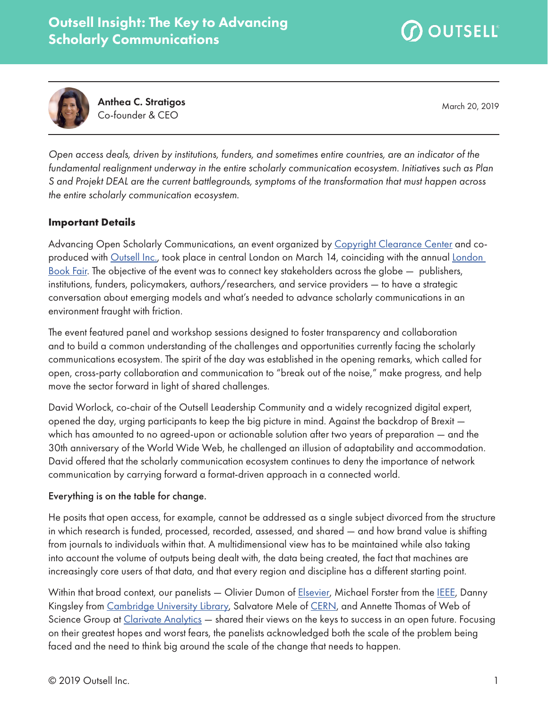



Anthea C. Stratigos Co-founder & CEO

March 20, 2019

*Open access deals, driven by institutions, funders, and sometimes entire countries, are an indicator of the fundamental realignment underway in the entire scholarly communication ecosystem. Initiatives such as Plan S and Projekt DEAL are the current battlegrounds, symptoms of the transformation that must happen across the entire scholarly communication ecosystem.*

### **Important Details**

Advancing Open Scholarly Communications, an event organized by [Copyright Clearance Center](http://www.copyright.com/) and coproduced with [Outsell Inc.,](http://www.outsellinc.com/) took place in central London on March 14, coinciding with the annual [London](http://www.londonbookfair.co.uk/)  [Book Fair](http://www.londonbookfair.co.uk/). The objective of the event was to connect key stakeholders across the globe — publishers, institutions, funders, policymakers, authors/researchers, and service providers — to have a strategic conversation about emerging models and what's needed to advance scholarly communications in an environment fraught with friction.

The event featured panel and workshop sessions designed to foster transparency and collaboration and to build a common understanding of the challenges and opportunities currently facing the scholarly communications ecosystem. The spirit of the day was established in the opening remarks, which called for open, cross-party collaboration and communication to "break out of the noise," make progress, and help move the sector forward in light of shared challenges.

David Worlock, co-chair of the Outsell Leadership Community and a widely recognized digital expert, opened the day, urging participants to keep the big picture in mind. Against the backdrop of Brexit which has amounted to no agreed-upon or actionable solution after two years of preparation — and the 30th anniversary of the World Wide Web, he challenged an illusion of adaptability and accommodation. David offered that the scholarly communication ecosystem continues to deny the importance of network communication by carrying forward a format-driven approach in a connected world.

### Everything is on the table for change.

He posits that open access, for example, cannot be addressed as a single subject divorced from the structure in which research is funded, processed, recorded, assessed, and shared — and how brand value is shifting from journals to individuals within that. A multidimensional view has to be maintained while also taking into account the volume of outputs being dealt with, the data being created, the fact that machines are increasingly core users of that data, and that every region and discipline has a different starting point.

Within that broad context, our panelists — Olivier Dumon of [Elsevier](http://www.elsevier.com/), Michael Forster from the [IEEE,](http://www.ieee.org/) Danny Kingsley from [Cambridge University Library](http://www.lib.cam.ac.uk/), Salvatore Mele of [CERN,](https://home.cern/) and Annette Thomas of Web of Science Group at [Clarivate Analytics](http://www.clarivate.com/) - shared their views on the keys to success in an open future. Focusing on their greatest hopes and worst fears, the panelists acknowledged both the scale of the problem being faced and the need to think big around the scale of the change that needs to happen.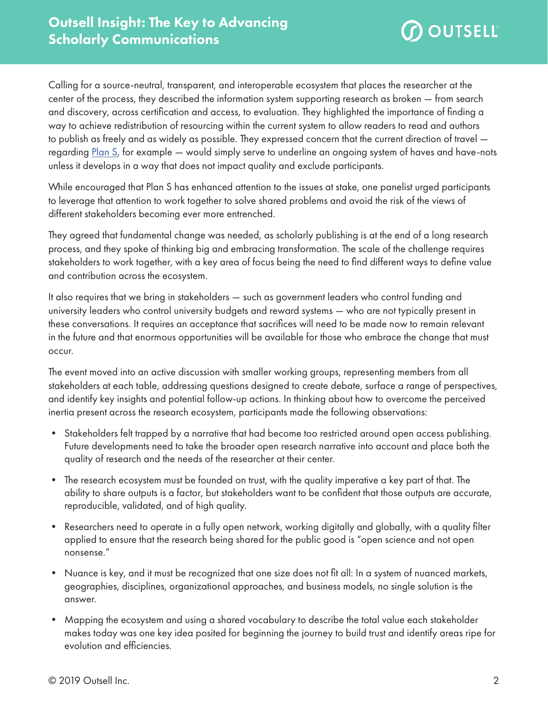

Calling for a source-neutral, transparent, and interoperable ecosystem that places the researcher at the center of the process, they described the information system supporting research as broken — from search and discovery, across certification and access, to evaluation. They highlighted the importance of finding a way to achieve redistribution of resourcing within the current system to allow readers to read and authors to publish as freely and as widely as possible. They expressed concern that the current direction of travel — regarding [Plan S](https://www.coalition-s.org/), for example — would simply serve to underline an ongoing system of haves and have-nots unless it develops in a way that does not impact quality and exclude participants.

While encouraged that Plan S has enhanced attention to the issues at stake, one panelist urged participants to leverage that attention to work together to solve shared problems and avoid the risk of the views of different stakeholders becoming ever more entrenched.

They agreed that fundamental change was needed, as scholarly publishing is at the end of a long research process, and they spoke of thinking big and embracing transformation. The scale of the challenge requires stakeholders to work together, with a key area of focus being the need to find different ways to define value and contribution across the ecosystem.

It also requires that we bring in stakeholders — such as government leaders who control funding and university leaders who control university budgets and reward systems — who are not typically present in these conversations. It requires an acceptance that sacrifices will need to be made now to remain relevant in the future and that enormous opportunities will be available for those who embrace the change that must occur.

The event moved into an active discussion with smaller working groups, representing members from all stakeholders at each table, addressing questions designed to create debate, surface a range of perspectives, and identify key insights and potential follow-up actions. In thinking about how to overcome the perceived inertia present across the research ecosystem, participants made the following observations:

- Stakeholders felt trapped by a narrative that had become too restricted around open access publishing. Future developments need to take the broader open research narrative into account and place both the quality of research and the needs of the researcher at their center.
- The research ecosystem must be founded on trust, with the quality imperative a key part of that. The ability to share outputs is a factor, but stakeholders want to be confident that those outputs are accurate, reproducible, validated, and of high quality.
- Researchers need to operate in a fully open network, working digitally and globally, with a quality filter applied to ensure that the research being shared for the public good is "open science and not open nonsense."
- Nuance is key, and it must be recognized that one size does not fit all: In a system of nuanced markets, geographies, disciplines, organizational approaches, and business models, no single solution is the answer.
- Mapping the ecosystem and using a shared vocabulary to describe the total value each stakeholder makes today was one key idea posited for beginning the journey to build trust and identify areas ripe for evolution and efficiencies.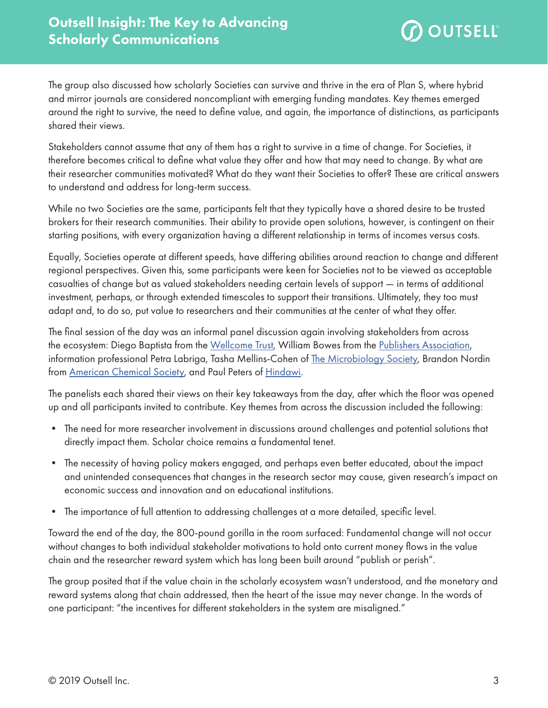

The group also discussed how scholarly Societies can survive and thrive in the era of Plan S, where hybrid and mirror journals are considered noncompliant with emerging funding mandates. Key themes emerged around the right to survive, the need to define value, and again, the importance of distinctions, as participants shared their views.

Stakeholders cannot assume that any of them has a right to survive in a time of change. For Societies, it therefore becomes critical to define what value they offer and how that may need to change. By what are their researcher communities motivated? What do they want their Societies to offer? These are critical answers to understand and address for long-term success.

While no two Societies are the same, participants felt that they typically have a shared desire to be trusted brokers for their research communities. Their ability to provide open solutions, however, is contingent on their starting positions, with every organization having a different relationship in terms of incomes versus costs.

Equally, Societies operate at different speeds, have differing abilities around reaction to change and different regional perspectives. Given this, some participants were keen for Societies not to be viewed as acceptable casualties of change but as valued stakeholders needing certain levels of support — in terms of additional investment, perhaps, or through extended timescales to support their transitions. Ultimately, they too must adapt and, to do so, put value to researchers and their communities at the center of what they offer.

The final session of the day was an informal panel discussion again involving stakeholders from across the ecosystem: Diego Baptista from the [Wellcome Trust](https://wellcome.ac.uk/), William Bowes from the [Publishers Association](http://www.publishers.org.uk/), information professional Petra Labriga, Tasha Mellins-Cohen of [The Microbiology Society,](https://microbiologysociety.org/) Brandon Nordin from [American Chemical Society,](http://www.acs.org/) and Paul Peters of [Hindawi](http://www.hindawi.com/).

The panelists each shared their views on their key takeaways from the day, after which the floor was opened up and all participants invited to contribute. Key themes from across the discussion included the following:

- The need for more researcher involvement in discussions around challenges and potential solutions that directly impact them. Scholar choice remains a fundamental tenet.
- The necessity of having policy makers engaged, and perhaps even better educated, about the impact and unintended consequences that changes in the research sector may cause, given research's impact on economic success and innovation and on educational institutions.
- The importance of full attention to addressing challenges at a more detailed, specific level.

Toward the end of the day, the 800-pound gorilla in the room surfaced: Fundamental change will not occur without changes to both individual stakeholder motivations to hold onto current money flows in the value chain and the researcher reward system which has long been built around "publish or perish".

The group posited that if the value chain in the scholarly ecosystem wasn't understood, and the monetary and reward systems along that chain addressed, then the heart of the issue may never change. In the words of one participant: "the incentives for different stakeholders in the system are misaligned."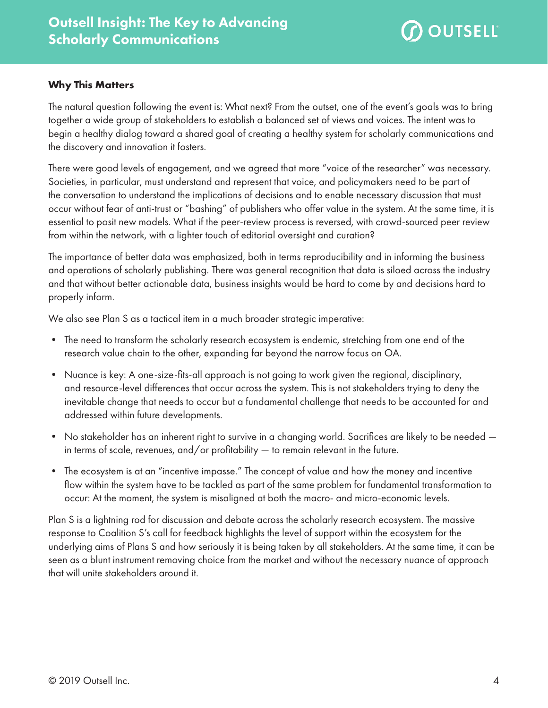

# **Why This Matters**

The natural question following the event is: What next? From the outset, one of the event's goals was to bring together a wide group of stakeholders to establish a balanced set of views and voices. The intent was to begin a healthy dialog toward a shared goal of creating a healthy system for scholarly communications and the discovery and innovation it fosters.

There were good levels of engagement, and we agreed that more "voice of the researcher" was necessary. Societies, in particular, must understand and represent that voice, and policymakers need to be part of the conversation to understand the implications of decisions and to enable necessary discussion that must occur without fear of anti-trust or "bashing" of publishers who offer value in the system. At the same time, it is essential to posit new models. What if the peer-review process is reversed, with crowd-sourced peer review from within the network, with a lighter touch of editorial oversight and curation?

The importance of better data was emphasized, both in terms reproducibility and in informing the business and operations of scholarly publishing. There was general recognition that data is siloed across the industry and that without better actionable data, business insights would be hard to come by and decisions hard to properly inform.

We also see Plan S as a tactical item in a much broader strategic imperative:

- The need to transform the scholarly research ecosystem is endemic, stretching from one end of the research value chain to the other, expanding far beyond the narrow focus on OA.
- Nuance is key: A one-size-fits-all approach is not going to work given the regional, disciplinary, and resource-level differences that occur across the system. This is not stakeholders trying to deny the inevitable change that needs to occur but a fundamental challenge that needs to be accounted for and addressed within future developments.
- No stakeholder has an inherent right to survive in a changing world. Sacrifices are likely to be needed in terms of scale, revenues, and/or profitability — to remain relevant in the future.
- The ecosystem is at an "incentive impasse." The concept of value and how the money and incentive flow within the system have to be tackled as part of the same problem for fundamental transformation to occur: At the moment, the system is misaligned at both the macro- and micro-economic levels.

Plan S is a lightning rod for discussion and debate across the scholarly research ecosystem. The massive response to Coalition S's call for feedback highlights the level of support within the ecosystem for the underlying aims of Plans S and how seriously it is being taken by all stakeholders. At the same time, it can be seen as a blunt instrument removing choice from the market and without the necessary nuance of approach that will unite stakeholders around it.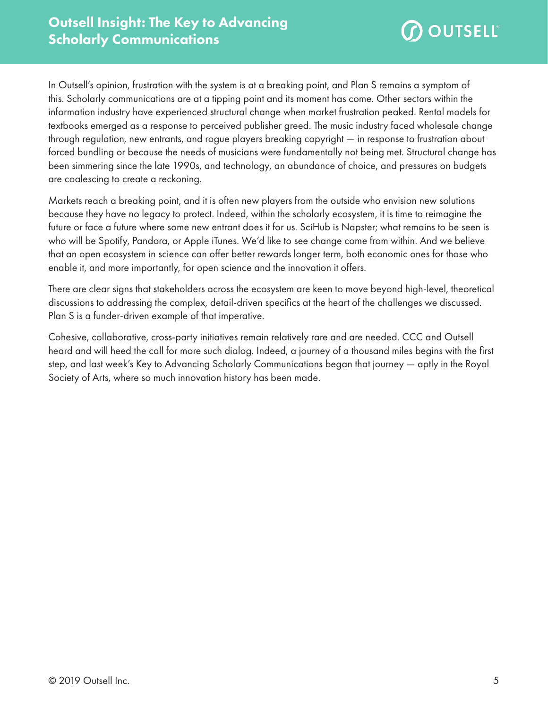

In Outsell's opinion, frustration with the system is at a breaking point, and Plan S remains a symptom of this. Scholarly communications are at a tipping point and its moment has come. Other sectors within the information industry have experienced structural change when market frustration peaked. Rental models for textbooks emerged as a response to perceived publisher greed. The music industry faced wholesale change through regulation, new entrants, and rogue players breaking copyright — in response to frustration about forced bundling or because the needs of musicians were fundamentally not being met. Structural change has been simmering since the late 1990s, and technology, an abundance of choice, and pressures on budgets are coalescing to create a reckoning.

Markets reach a breaking point, and it is often new players from the outside who envision new solutions because they have no legacy to protect. Indeed, within the scholarly ecosystem, it is time to reimagine the future or face a future where some new entrant does it for us. SciHub is Napster; what remains to be seen is who will be Spotify, Pandora, or Apple iTunes. We'd like to see change come from within. And we believe that an open ecosystem in science can offer better rewards longer term, both economic ones for those who enable it, and more importantly, for open science and the innovation it offers.

There are clear signs that stakeholders across the ecosystem are keen to move beyond high-level, theoretical discussions to addressing the complex, detail-driven specifics at the heart of the challenges we discussed. Plan S is a funder-driven example of that imperative.

Cohesive, collaborative, cross-party initiatives remain relatively rare and are needed. CCC and Outsell heard and will heed the call for more such dialog. Indeed, a journey of a thousand miles begins with the first step, and last week's Key to Advancing Scholarly Communications began that journey — aptly in the Royal Society of Arts, where so much innovation history has been made.